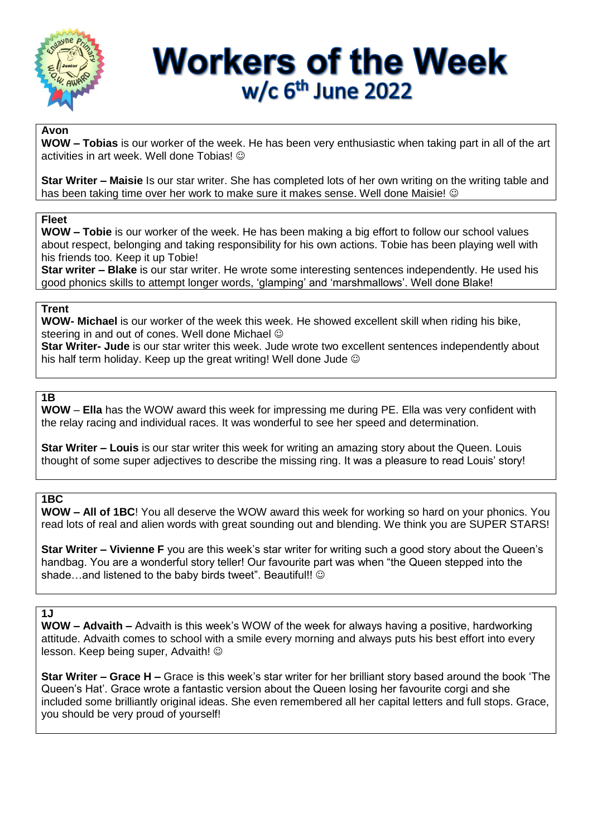

# **Workers of the Week**  $w/c$  6<sup>th</sup> June 2022

#### **Avon**

**WOW – Tobias** is our worker of the week. He has been very enthusiastic when taking part in all of the art activities in art week. Well done Tobias!

**Star Writer – Maisie** Is our star writer. She has completed lots of her own writing on the writing table and has been taking time over her work to make sure it makes sense. Well done Maisie! ©

#### **Fleet**

**WOW – Tobie** is our worker of the week. He has been making a big effort to follow our school values about respect, belonging and taking responsibility for his own actions. Tobie has been playing well with his friends too. Keep it up Tobie!

**Star writer – Blake** is our star writer. He wrote some interesting sentences independently. He used his good phonics skills to attempt longer words, 'glamping' and 'marshmallows'. Well done Blake!

#### **Trent**

**WOW- Michael** is our worker of the week this week. He showed excellent skill when riding his bike, steering in and out of cones. Well done Michael  $\odot$ 

**Star Writer- Jude** is our star writer this week. Jude wrote two excellent sentences independently about his half term holiday. Keep up the great writing! Well done Jude  $\odot$ 

## **1B**

**WOW** – **Ella** has the WOW award this week for impressing me during PE. Ella was very confident with the relay racing and individual races. It was wonderful to see her speed and determination.

**Star Writer – Louis** is our star writer this week for writing an amazing story about the Queen. Louis thought of some super adjectives to describe the missing ring. It was a pleasure to read Louis' story!

### **1BC**

**WOW – All of 1BC**! You all deserve the WOW award this week for working so hard on your phonics. You read lots of real and alien words with great sounding out and blending. We think you are SUPER STARS!

**Star Writer – Vivienne F** you are this week's star writer for writing such a good story about the Queen's handbag. You are a wonderful story teller! Our favourite part was when "the Queen stepped into the shade…and listened to the baby birds tweet". Beautiful!! ©

### **1J**

**WOW – Advaith –** Advaith is this week's WOW of the week for always having a positive, hardworking attitude. Advaith comes to school with a smile every morning and always puts his best effort into every lesson. Keep being super, Advaith!

**Star Writer – Grace H –** Grace is this week's star writer for her brilliant story based around the book 'The Queen's Hat'. Grace wrote a fantastic version about the Queen losing her favourite corgi and she included some brilliantly original ideas. She even remembered all her capital letters and full stops. Grace, you should be very proud of yourself!